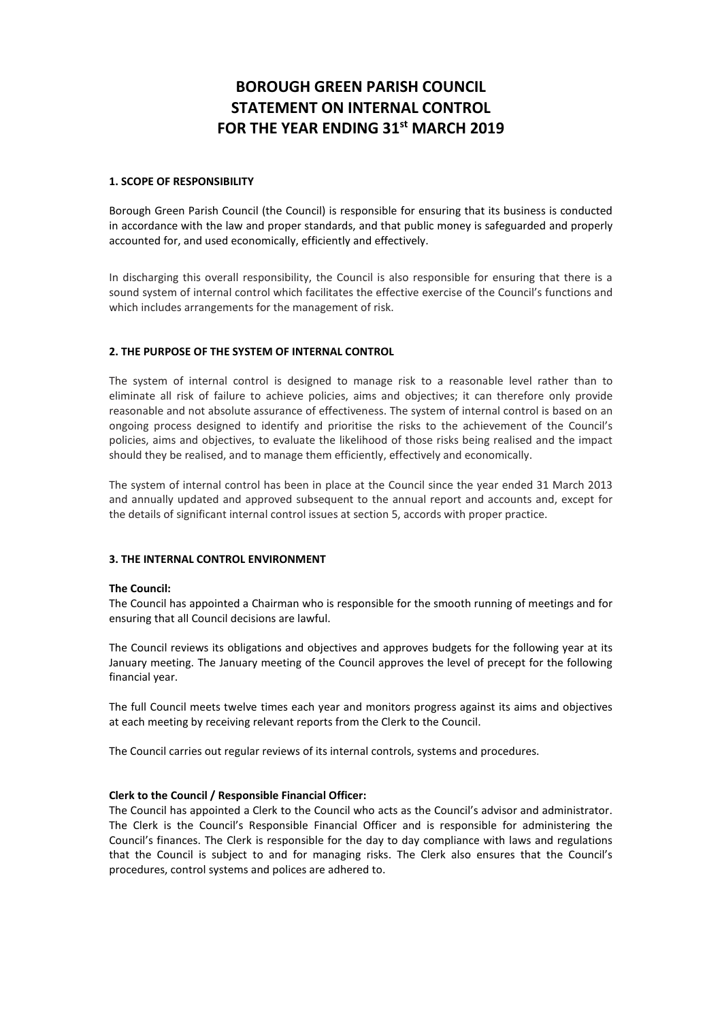# **BOROUGH GREEN PARISH COUNCIL STATEMENT ON INTERNAL CONTROL FOR THE YEAR ENDING 31st MARCH 2019**

# **1. SCOPE OF RESPONSIBILITY**

Borough Green Parish Council (the Council) is responsible for ensuring that its business is conducted in accordance with the law and proper standards, and that public money is safeguarded and properly accounted for, and used economically, efficiently and effectively.

In discharging this overall responsibility, the Council is also responsible for ensuring that there is a sound system of internal control which facilitates the effective exercise of the Council's functions and which includes arrangements for the management of risk.

# **2. THE PURPOSE OF THE SYSTEM OF INTERNAL CONTROL**

The system of internal control is designed to manage risk to a reasonable level rather than to eliminate all risk of failure to achieve policies, aims and objectives; it can therefore only provide reasonable and not absolute assurance of effectiveness. The system of internal control is based on an ongoing process designed to identify and prioritise the risks to the achievement of the Council's policies, aims and objectives, to evaluate the likelihood of those risks being realised and the impact should they be realised, and to manage them efficiently, effectively and economically.

The system of internal control has been in place at the Council since the year ended 31 March 2013 and annually updated and approved subsequent to the annual report and accounts and, except for the details of significant internal control issues at section 5, accords with proper practice.

#### **3. THE INTERNAL CONTROL ENVIRONMENT**

# **The Council:**

The Council has appointed a Chairman who is responsible for the smooth running of meetings and for ensuring that all Council decisions are lawful.

The Council reviews its obligations and objectives and approves budgets for the following year at its January meeting. The January meeting of the Council approves the level of precept for the following financial year.

The full Council meets twelve times each year and monitors progress against its aims and objectives at each meeting by receiving relevant reports from the Clerk to the Council.

The Council carries out regular reviews of its internal controls, systems and procedures.

#### **Clerk to the Council / Responsible Financial Officer:**

The Council has appointed a Clerk to the Council who acts as the Council's advisor and administrator. The Clerk is the Council's Responsible Financial Officer and is responsible for administering the Council's finances. The Clerk is responsible for the day to day compliance with laws and regulations that the Council is subject to and for managing risks. The Clerk also ensures that the Council's procedures, control systems and polices are adhered to.